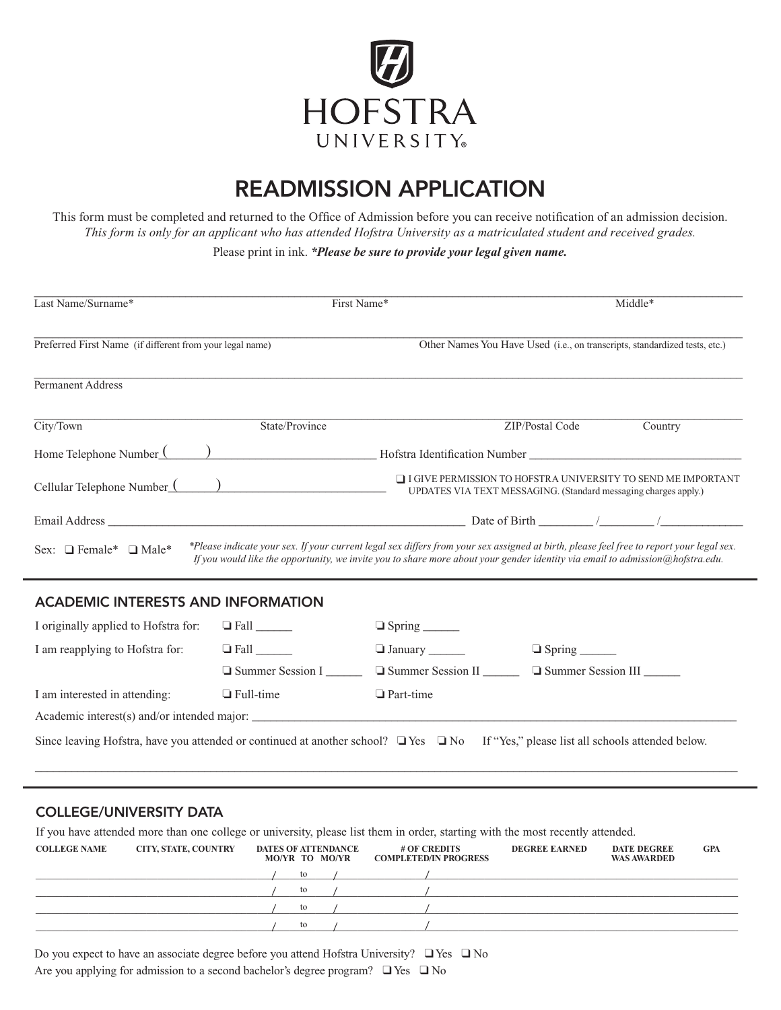

# READMISSION APPLICATION

This form must be completed and returned to the Office of Admission before you can receive notification of an admission decision. *This form is only for an applicant who has attended Hofstra University as a matriculated student and received grades.*

Please print in ink. *\*Please be sure to provide your legal given name.*

|                                                          | First Name*                                                                                                                            | Middle*                                                                                                                                                                                                                                                                   |  |  |  |
|----------------------------------------------------------|----------------------------------------------------------------------------------------------------------------------------------------|---------------------------------------------------------------------------------------------------------------------------------------------------------------------------------------------------------------------------------------------------------------------------|--|--|--|
| Preferred First Name (if different from your legal name) |                                                                                                                                        | Other Names You Have Used ( <i>i.e.</i> , on transcripts, standardized tests, etc.)                                                                                                                                                                                       |  |  |  |
|                                                          |                                                                                                                                        |                                                                                                                                                                                                                                                                           |  |  |  |
| State/Province                                           | ZIP/Postal Code                                                                                                                        | Country                                                                                                                                                                                                                                                                   |  |  |  |
| Home Telephone Number ()                                 | Hofstra Identification Number                                                                                                          |                                                                                                                                                                                                                                                                           |  |  |  |
|                                                          | $\Box$ I GIVE PERMISSION TO HOFSTRA UNIVERSITY TO SEND ME IMPORTANT<br>UPDATES VIA TEXT MESSAGING. (Standard messaging charges apply.) |                                                                                                                                                                                                                                                                           |  |  |  |
|                                                          |                                                                                                                                        |                                                                                                                                                                                                                                                                           |  |  |  |
|                                                          |                                                                                                                                        |                                                                                                                                                                                                                                                                           |  |  |  |
|                                                          |                                                                                                                                        | *Please indicate your sex. If your current legal sex differs from your sex assigned at birth, please feel free to report your legal sex.<br>If you would like the opportunity, we invite you to share more about your gender identity via email to admission@hofstra.edu. |  |  |  |

# ACADEMIC INTERESTS AND INFORMATION

| I originally applied to Hofstra for:                                                                                                            |                         |                          |                      |  |  |  |  |  |
|-------------------------------------------------------------------------------------------------------------------------------------------------|-------------------------|--------------------------|----------------------|--|--|--|--|--|
| I am reapplying to Hofstra for:                                                                                                                 | $\Box$ Fall             | $\Box$ January           |                      |  |  |  |  |  |
|                                                                                                                                                 | $\Box$ Summer Session I | $\Box$ Summer Session II | □ Summer Session III |  |  |  |  |  |
| I am interested in attending:                                                                                                                   | $\Box$ Full-time        | $\Box$ Part-time         |                      |  |  |  |  |  |
|                                                                                                                                                 |                         |                          |                      |  |  |  |  |  |
| Since leaving Hofstra, have you attended or continued at another school? $\Box$ Yes $\Box$ No If "Yes," please list all schools attended below. |                         |                          |                      |  |  |  |  |  |

\_\_\_\_\_\_\_\_\_\_\_\_\_\_\_\_\_\_\_\_\_\_\_\_\_\_\_\_\_\_\_\_\_\_\_\_\_\_\_\_\_\_\_\_\_\_\_\_\_\_\_\_\_\_\_\_\_\_\_\_\_\_\_\_\_\_\_\_\_\_\_\_\_\_\_\_\_\_\_\_\_\_\_\_\_\_\_\_\_\_\_\_\_\_\_\_\_\_\_\_\_\_\_\_\_\_\_\_\_\_\_\_\_\_\_\_

# COLLEGE/UNIVERSITY DATA

If you have attended more than one college or university, please list them in order, starting with the most recently attended.

| <b>COLLEGE NAME</b> | <b>CITY, STATE, COUNTRY</b> | <b>DATES OF ATTENDANCE</b><br>MO/YR TO MO/YR |    | # OF CREDITS<br><b>COMPLETED/IN PROGRESS</b> | <b>DEGREE EARNED</b> | <b>DATE DEGREE</b><br><b>WAS AWARDED</b> | <b>GPA</b> |
|---------------------|-----------------------------|----------------------------------------------|----|----------------------------------------------|----------------------|------------------------------------------|------------|
|                     |                             |                                              | to |                                              |                      |                                          |            |
|                     |                             |                                              | to |                                              |                      |                                          |            |
|                     |                             |                                              | to |                                              |                      |                                          |            |
|                     |                             |                                              | to |                                              |                      |                                          |            |

Do you expect to have an associate degree before you attend Hofstra University? ❑ Yes ❑ No Are you applying for admission to a second bachelor's degree program? ❑ Yes ❑ No